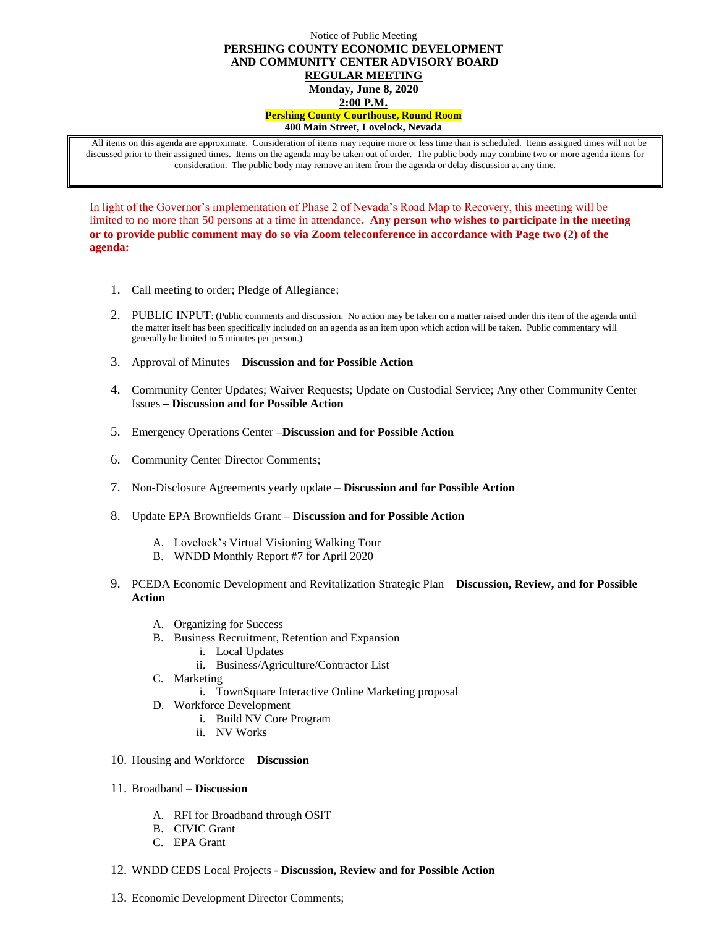## Notice of Public Meeting **PERSHING COUNTY ECONOMIC DEVELOPMENT AND COMMUNITY CENTER ADVISORY BOARD REGULAR MEETING Monday, June 8, 2020 2:00 P.M. Pershing County Courthouse, Round Room 400 Main Street, Lovelock, Nevada**

All items on this agenda are approximate. Consideration of items may require more or less time than is scheduled. Items assigned times will not be discussed prior to their assigned times. Items on the agenda may be taken out of order. The public body may combine two or more agenda items for consideration. The public body may remove an item from the agenda or delay discussion at any time.

In light of the Governor's implementation of Phase 2 of Nevada's Road Map to Recovery, this meeting will be limited to no more than 50 persons at a time in attendance. **Any person who wishes to participate in the meeting or to provide public comment may do so via Zoom teleconference in accordance with Page two (2) of the agenda:** 

- 1. Call meeting to order; Pledge of Allegiance;
- 2. PUBLIC INPUT: (Public comments and discussion. No action may be taken on a matter raised under this item of the agenda until the matter itself has been specifically included on an agenda as an item upon which action will be taken. Public commentary will generally be limited to 5 minutes per person.)
- 3. Approval of Minutes **Discussion and for Possible Action**
- 4. Community Center Updates; Waiver Requests; Update on Custodial Service; Any other Community Center Issues **– Discussion and for Possible Action**
- 5. Emergency Operations Center **–Discussion and for Possible Action**
- 6. Community Center Director Comments;
- 7. Non-Disclosure Agreements yearly update **Discussion and for Possible Action**
- 8. Update EPA Brownfields Grant **– Discussion and for Possible Action**
	- A. Lovelock's Virtual Visioning Walking Tour
	- B. WNDD Monthly Report #7 for April 2020
- 9. PCEDA Economic Development and Revitalization Strategic Plan **Discussion, Review, and for Possible Action**
	- A. Organizing for Success
	- B. Business Recruitment, Retention and Expansion
		- i. Local Updates
			- ii. Business/Agriculture/Contractor List
	- C. Marketing
		- i. TownSquare Interactive Online Marketing proposal
	- D. Workforce Development
		- i. Build NV Core Program
		- ii. NV Works
- 10. Housing and Workforce **Discussion**
- 11. Broadband **Discussion**
	- A. RFI for Broadband through OSIT
	- B. CIVIC Grant
	- C. EPA Grant
- 12. WNDD CEDS Local Projects **Discussion, Review and for Possible Action**
- 13. Economic Development Director Comments;